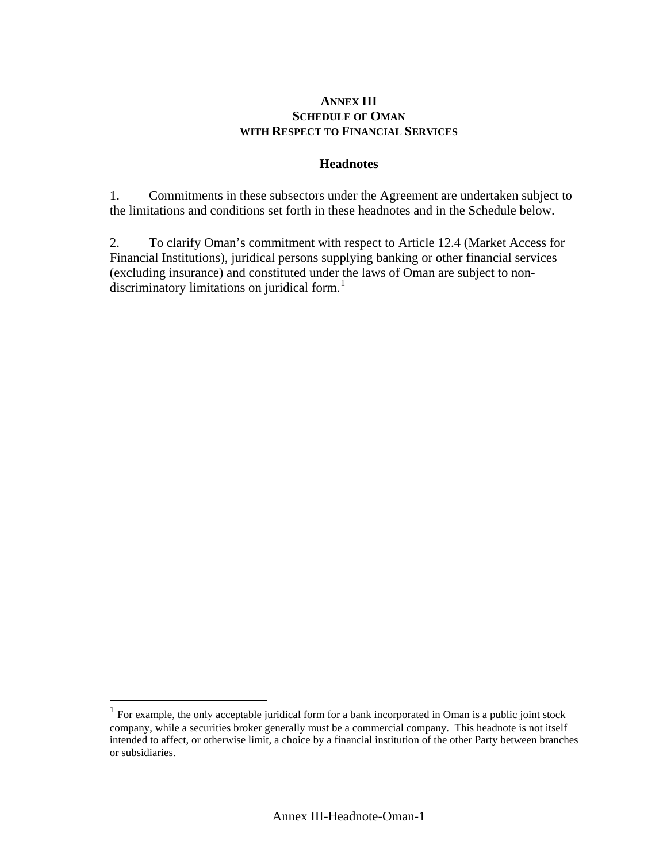## **ANNEX III SCHEDULE OF OMAN WITH RESPECT TO FINANCIAL SERVICES**

## **Headnotes**

1. Commitments in these subsectors under the Agreement are undertaken subject to the limitations and conditions set forth in these headnotes and in the Schedule below.

2. To clarify Oman's commitment with respect to Article 12.4 (Market Access for Financial Institutions), juridical persons supplying banking or other financial services (excluding insurance) and constituted under the laws of Oman are subject to non-discriminatory limitations on juridical form.<sup>[1](#page-0-0)</sup>

 $\overline{a}$ 

<span id="page-0-0"></span> $1$  For example, the only acceptable juridical form for a bank incorporated in Oman is a public joint stock company, while a securities broker generally must be a commercial company. This headnote is not itself intended to affect, or otherwise limit, a choice by a financial institution of the other Party between branches or subsidiaries.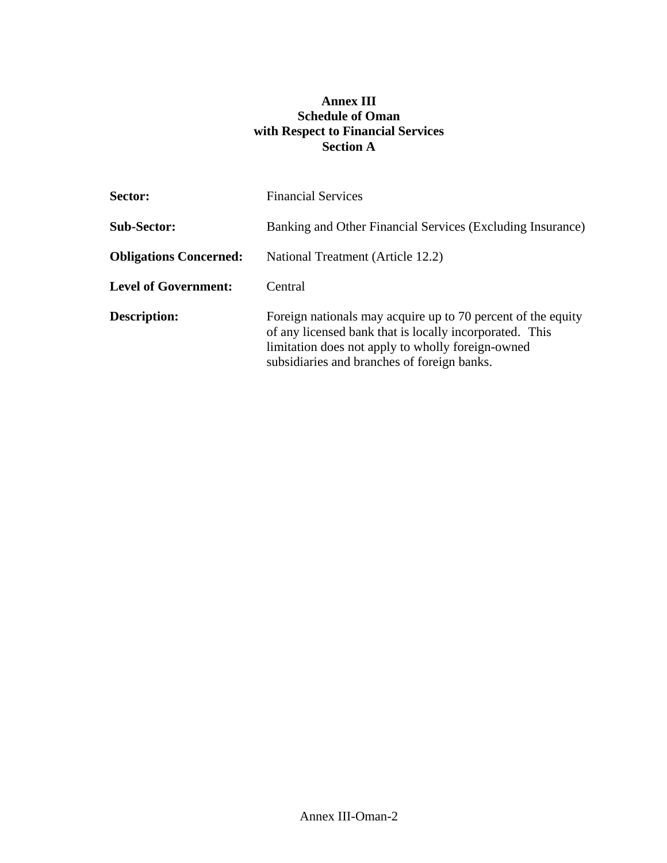## **Annex III Schedule of Oman with Respect to Financial Services Section A**

| Sector:                       | <b>Financial Services</b>                                                                                                                                                                                                   |
|-------------------------------|-----------------------------------------------------------------------------------------------------------------------------------------------------------------------------------------------------------------------------|
| <b>Sub-Sector:</b>            | Banking and Other Financial Services (Excluding Insurance)                                                                                                                                                                  |
| <b>Obligations Concerned:</b> | National Treatment (Article 12.2)                                                                                                                                                                                           |
| <b>Level of Government:</b>   | Central                                                                                                                                                                                                                     |
| <b>Description:</b>           | Foreign nationals may acquire up to 70 percent of the equity<br>of any licensed bank that is locally incorporated. This<br>limitation does not apply to wholly foreign-owned<br>subsidiaries and branches of foreign banks. |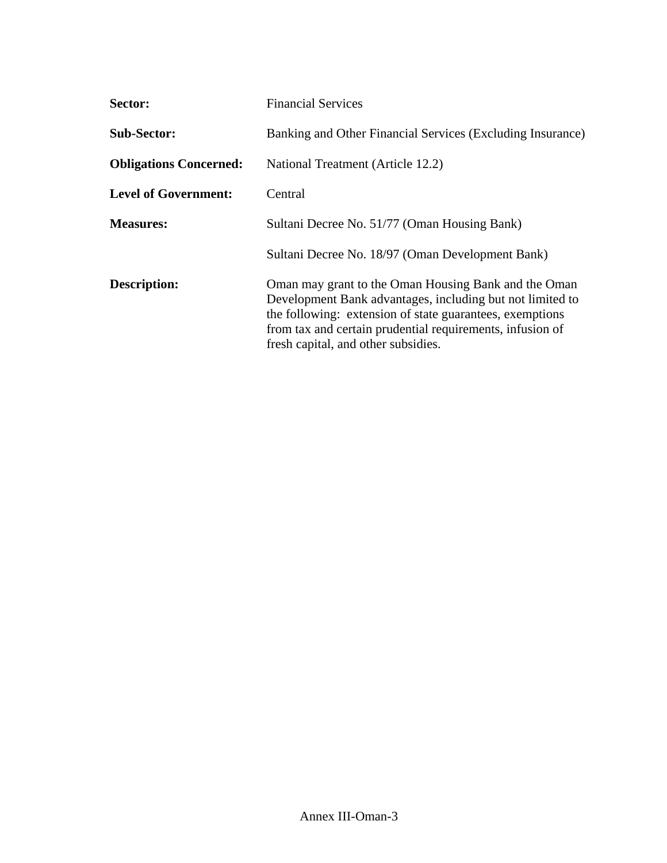| Sector:                       | <b>Financial Services</b>                                                                                                                                                                                                                                                         |
|-------------------------------|-----------------------------------------------------------------------------------------------------------------------------------------------------------------------------------------------------------------------------------------------------------------------------------|
| <b>Sub-Sector:</b>            | Banking and Other Financial Services (Excluding Insurance)                                                                                                                                                                                                                        |
| <b>Obligations Concerned:</b> | National Treatment (Article 12.2)                                                                                                                                                                                                                                                 |
| <b>Level of Government:</b>   | Central                                                                                                                                                                                                                                                                           |
| <b>Measures:</b>              | Sultani Decree No. 51/77 (Oman Housing Bank)                                                                                                                                                                                                                                      |
|                               | Sultani Decree No. 18/97 (Oman Development Bank)                                                                                                                                                                                                                                  |
| <b>Description:</b>           | Oman may grant to the Oman Housing Bank and the Oman<br>Development Bank advantages, including but not limited to<br>the following: extension of state guarantees, exemptions<br>from tax and certain prudential requirements, infusion of<br>fresh capital, and other subsidies. |